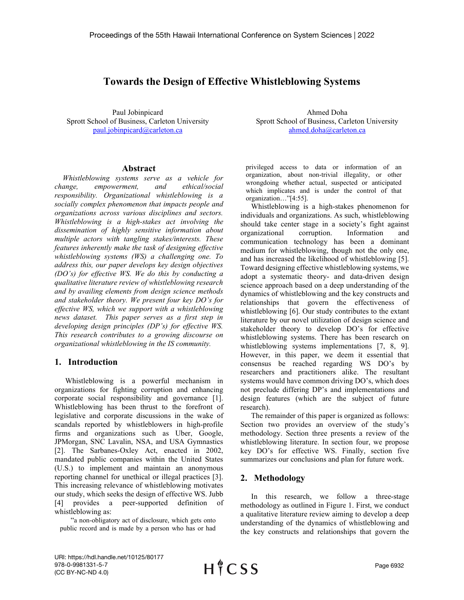# **Towards the Design of Effective Whistleblowing Systems**

Paul Jobinpicard Sprott School of Business, Carleton University [paul.jobinpicard@carleton.ca](mailto:paul.jobinpicard@carleton.ca)

#### **Abstract**

 *Whistleblowing systems serve as a vehicle for change, empowerment, and ethical/social responsibility. Organizational whistleblowing is a socially complex phenomenon that impacts people and organizations across various disciplines and sectors. Whistleblowing is a high-stakes act involving the dissemination of highly sensitive information about multiple actors with tangling stakes/interests. These features inherently make the task of designing effective whistleblowing systems (WS) a challenging one. To address this, our paper develops key design objectives (DO's) for effective WS. We do this by conducting a qualitative literature review of whistleblowing research and by availing elements from design science methods and stakeholder theory. We present four key DO's for effective WS, which we support with a whistleblowing news dataset. This paper serves as a first step in developing design principles (DP's) for effective WS. This research contributes to a growing discourse on organizational whistleblowing in the IS community.*

### **1. Introduction**

Whistleblowing is a powerful mechanism in organizations for fighting corruption and enhancing corporate social responsibility and governance [1]. Whistleblowing has been thrust to the forefront of legislative and corporate discussions in the wake of scandals reported by whistleblowers in high-profile firms and organizations such as Uber, Google, JPMorgan, SNC Lavalin, NSA, and USA Gymnastics [2]. The Sarbanes-Oxley Act, enacted in 2002, mandated public companies within the United States (U.S.) to implement and maintain an anonymous reporting channel for unethical or illegal practices [3]. This increasing relevance of whistleblowing motivates our study, which seeks the design of effective WS. Jubb [4] provides a peer-supported definition of whistleblowing as:

"a non-obligatory act of disclosure, which gets onto public record and is made by a person who has or had

Ahmed Doha Sprott School of Business, Carleton University [ahmed.doha@carleton.ca](mailto:ahmed.doha@carleton.ca)

privileged access to data or information of an organization, about non-trivial illegality, or other wrongdoing whether actual, suspected or anticipated which implicates and is under the control of that organization…"[4:55].

Whistleblowing is a high-stakes phenomenon for individuals and organizations. As such, whistleblowing should take center stage in a society's fight against organizational corruption. Information and communication technology has been a dominant medium for whistleblowing, though not the only one, and has increased the likelihood of whistleblowing [5]. Toward designing effective whistleblowing systems, we adopt a systematic theory- and data-driven design science approach based on a deep understanding of the dynamics of whistleblowing and the key constructs and relationships that govern the effectiveness of whistleblowing [6]. Our study contributes to the extant literature by our novel utilization of design science and stakeholder theory to develop DO's for effective whistleblowing systems. There has been research on whistleblowing systems implementations [7, 8, 9]. However, in this paper, we deem it essential that consensus be reached regarding WS DO's by researchers and practitioners alike. The resultant systems would have common driving DO's, which does not preclude differing DP's and implementations and design features (which are the subject of future research).

The remainder of this paper is organized as follows: Section two provides an overview of the study's methodology. Section three presents a review of the whistleblowing literature. In section four, we propose key DO's for effective WS. Finally, section five summarizes our conclusions and plan for future work.

#### **2. Methodology**

In this research, we follow a three-stage methodology as outlined in Figure 1. First, we conduct a qualitative literature review aiming to develop a deep understanding of the dynamics of whistleblowing and the key constructs and relationships that govern the

URI: https://hdl.handle.net/10125/80177 978-0-9981331-5-7 (CC BY-NC-ND 4.0)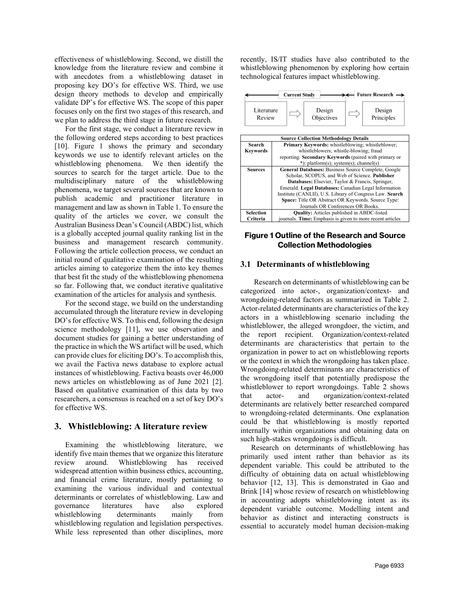effectiveness of whistleblowing. Second, we distill the knowledge from the literature review and combine it with anecdotes from a whistleblowing dataset in proposing key DO's for effective WS. Third, we use design theory methods to develop and empirically validate DP's for effective WS. The scope of this paper focuses only on the first two stages of this research, and we plan to address the third stage in future research.

For the first stage, we conduct a literature review in the following ordered steps according to best practices [10]. Figure 1 shows the primary and secondary keywords we use to identify relevant articles on the whistleblowing phenomena. We then identify the sources to search for the target article. Due to the multidisciplinary nature of the whistleblowing phenomena, we target several sources that are known to publish academic and practitioner literature in management and law as shown in Table 1. To ensure the quality of the articles we cover, we consult the Australian Business Dean's Council (ABDC) list, which is a globally accepted journal quality ranking list in the business and management research community. Following the article collection process, we conduct an initial round of qualitative examination of the resulting articles aiming to categorize them the into key themes that best fit the study of the whistleblowing phenomena so far. Following that, we conduct iterative qualitative examination of the articles for analysis and synthesis.

For the second stage, we build on the understanding accumulated through the literature review in developing DO's for effective WS. To this end, following the design science methodology [11], we use observation and document studies for gaining a better understanding of the practice in which the WS artifact will be used, which can provide clues for eliciting DO's. To accomplish this, we avail the Factiva news database to explore actual instances of whistleblowing. Factiva boasts over 46,000 news articles on whistleblowing as of June 2021 [2]. Based on qualitative examination of this data by two researchers, a consensus is reached on a set of key DO's for effective WS.

### **3. Whistleblowing: A literature review**

Examining the whistleblowing literature, we identify five main themes that we organize this literature review around. Whistleblowing has received widespread attention within business ethics, accounting, and financial crime literature, mostly pertaining to examining the various individual and contextual determinants or correlates of whistleblowing. Law and governance literatures have also explored whistleblowing determinants mainly from whistleblowing regulation and legislation perspectives. While less represented than other disciplines, more recently, IS/IT studies have also contributed to the whistleblowing phenomenon by exploring how certain technological features impact whistleblowing.



# **Figure 1 Outline of the Research and Source Collection Methodologies**

### **3.1 Determinants of whistleblowing**

Research on determinants of whistleblowing can be categorized into actor-, organization/context- and wrongdoing-related factors as summarized in Table 2. Actor-related determinants are characteristics of the key actors in a whistleblowing scenario including the whistleblower, the alleged wrongdoer, the victim, and the report recipient. Organization/context-related determinants are characteristics that pertain to the organization in power to act on whistleblowing reports or the context in which the wrongdoing has taken place. Wrongdoing-related determinants are characteristics of the wrongdoing itself that potentially predispose the whistleblower to report wrongdoings. Table 2 shows that actor- and organization/context-related determinants are relatively better researched compared to wrongdoing-related determinants. One explanation could be that whistleblowing is mostly reported internally within organizations and obtaining data on such high-stakes wrongdoings is difficult.

Research on determinants of whistleblowing has primarily used intent rather than behavior as its dependent variable. This could be attributed to the difficulty of obtaining data on actual whistleblowing behavior [12, 13]. This is demonstrated in Gao and Brink [14] whose review of research on whistleblowing in accounting adopts whistleblowing intent as its dependent variable outcome. Modelling intent and behavior as distinct and interacting constructs is essential to accurately model human decision-making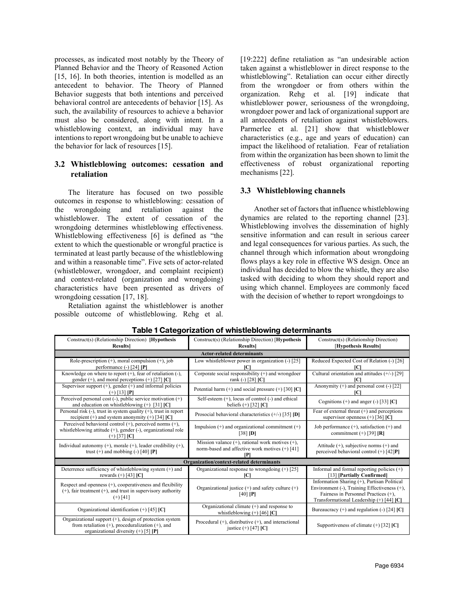processes, as indicated most notably by the Theory of Planned Behavior and the Theory of Reasoned Action [15, 16]. In both theories, intention is modelled as an antecedent to behavior. The Theory of Planned Behavior suggests that both intentions and perceived behavioral control are antecedents of behavior [15]. As such, the availability of resources to achieve a behavior must also be considered, along with intent. In a whistleblowing context, an individual may have intentions to report wrongdoing but be unable to achieve the behavior for lack of resources [15].

### **3.2 Whistleblowing outcomes: cessation and retaliation**

The literature has focused on two possible outcomes in response to whistleblowing: cessation of the wrongdoing and retaliation against the whistleblower. The extent of cessation of the wrongdoing determines whistleblowing effectiveness. Whistleblowing effectiveness [6] is defined as "the extent to which the questionable or wrongful practice is terminated at least partly because of the whistleblowing and within a reasonable time". Five sets of actor-related (whistleblower, wrongdoer, and complaint recipient) and context-related (organization and wrongdoing) characteristics have been presented as drivers of wrongdoing cessation [17, 18].

Retaliation against the whistleblower is another possible outcome of whistleblowing. Rehg et al.

[19:222] define retaliation as "an undesirable action taken against a whistleblower in direct response to the whistleblowing". Retaliation can occur either directly from the wrongdoer or from others within the organization. Rehg et al. [19] indicate that whistleblower power, seriousness of the wrongdoing, wrongdoer power and lack of organizational support are all antecedents of retaliation against whistleblowers. Parmerlee et al. [21] show that whistleblower characteristics (e.g., age and years of education) can impact the likelihood of retaliation. Fear of retaliation from within the organization has been shown to limit the effectiveness of robust organizational reporting mechanisms [22].

### **3.3 Whistleblowing channels**

Another set of factors that influence whistleblowing dynamics are related to the reporting channel [23]. Whistleblowing involves the dissemination of highly sensitive information and can result in serious career and legal consequences for various parties. As such, the channel through which information about wrongdoing flows plays a key role in effective WS design. Once an individual has decided to blow the whistle, they are also tasked with deciding to whom they should report and using which channel. Employees are commonly faced with the decision of whether to report wrongdoings to

| Construct(s) (Relationship Direction) [Hypothesis]<br><b>Results</b>                                                                                           | Construct(s) (Relationship Direction) [Hypothesis<br><b>Results</b>                                     | Construct(s) (Relationship Direction)<br>[Hypothesis Results]                                                                                                                      |  |  |
|----------------------------------------------------------------------------------------------------------------------------------------------------------------|---------------------------------------------------------------------------------------------------------|------------------------------------------------------------------------------------------------------------------------------------------------------------------------------------|--|--|
| <b>Actor-related determinants</b>                                                                                                                              |                                                                                                         |                                                                                                                                                                                    |  |  |
| Role-prescription $(+)$ , moral compulsion $(+)$ , job<br>performance $(-)$ [24] [P]                                                                           | Low whistleblower power in organization $(-)$ [25]                                                      | Reduced Expected Cost of Relation (-) [26]<br>Ю                                                                                                                                    |  |  |
| Knowledge on where to report $(+)$ , fear of retaliation $(-)$ ,<br>gender (+), and moral perceptions (+) [27] [C]                                             | Corporate social responsibility $(+)$ and wrongdoer<br>rank (-) $[28]$ $[C]$                            | Cultural orientation and attitudes (+/-) [29]<br>ICI                                                                                                                               |  |  |
| Supervisor support $(+)$ , gender $(+)$ and informal policies<br>$(+)$ [13] [P]                                                                                | Potential harm $(+)$ and social pressure $(+)$ [30] [C]                                                 | Anonymity (+) and personal cost (-) [22]<br>ю                                                                                                                                      |  |  |
| Perceived personal cost (-), public service motivation (+)<br>and education on whistleblowing $(+)$ [31] [C]                                                   | Self-esteem (+), locus of control (-) and ethical<br>beliefs $(+)$ [32] [C]                             | Cognitions $(+)$ and anger $(-)$ [33] [C]                                                                                                                                          |  |  |
| Personal risk $(-)$ , trust in system quality $(+)$ , trust in report<br>recipient $(+)$ and system anonymity $(+)$ [34] [C]                                   | Prosocial behavioral characteristics $(+/-)$ [35] [D]                                                   | Fear of external threat $(+)$ and perceptions<br>supervisor openness $(+)$ [36] [C]                                                                                                |  |  |
| Perceived behavioral control $(+)$ , perceived norms $(+)$ ,<br>whistleblowing attitude $(+)$ , gender $(-)$ , organizational role<br>$(+)$ [37] [C]           | Impulsion $(+)$ and organizational commitment $(+)$<br>$[38]$ [D]                                       | Job performance $(+)$ , satisfaction $(+)$ and<br>commitment $(+)$ [39] [R]                                                                                                        |  |  |
| Individual autonomy $(+)$ , morale $(+)$ , leader credibility $(+)$ ,<br>trust $(+)$ and mobbing $(-)$ [40] [P]                                                | Mission valance $(+)$ , rational work motives $(+)$ ,<br>norm-based and affective work motives (+) [41] | Attitude $(+)$ , subjective norms $(+)$ and<br>perceived behavioral control $(+)$ [42] $P$ ]                                                                                       |  |  |
| Organization/context-related determinants                                                                                                                      |                                                                                                         |                                                                                                                                                                                    |  |  |
| Deterrence sufficiency of whistleblowing system (+) and<br>rewards $(+)$ [43] [C]                                                                              | Organizational response to wrongdoing $(+)$ [25]<br>ſС                                                  | Informal and formal reporting policies (+)<br>[13] [Partially Confirmed]                                                                                                           |  |  |
| Respect and openness $(+)$ , cooperativeness and flexibility<br>$(+)$ , fair treatment $(+)$ , and trust in supervisory authority<br>$(+)$ [41]                | Organizational justice $(+)$ and safety culture $(+)$<br>$[40]$ $[P]$                                   | Information Sharing (+), Partisan Political<br>Environment (-), Training Effectiveness (+),<br>Fairness in Personnel Practices $(+)$ ,<br>Transformational Leadership (+) [44] [C] |  |  |
| Organizational identification $(+)$ [45] [C]                                                                                                                   | Organizational climate (+) and response to<br>whistleblowing $(+)$ [46] [C]                             | Bureaucracy $(+)$ and regulation $(-)$ [24] [C]                                                                                                                                    |  |  |
| Organizational support $(+)$ , design of protection system<br>from retaliation $(+)$ , proceduralization $(+)$ , and<br>organizational diversity $(+)$ [5] [P] | Procedural $(+)$ , distributive $(+)$ , and interactional<br>justice $(+)$ [47] [C]                     | Supportiveness of climate $(+)$ [32] [C]                                                                                                                                           |  |  |

#### **Table 1 Categorization of whistleblowing determinants**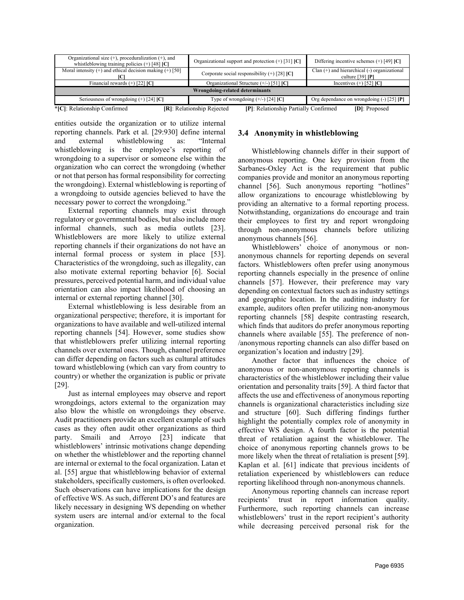| Organizational size $(+)$ , proceduralization $(+)$ , and<br>whistleblowing training policies $(+)$ [48] [C] | Organizational support and protection $(+)$ [31] [C]                | Differing incentive schemes $(+)$ [49] [C]                             |  |  |
|--------------------------------------------------------------------------------------------------------------|---------------------------------------------------------------------|------------------------------------------------------------------------|--|--|
| Moral intensity $(+)$ and ethical decision making $(+)$ [50]                                                 | Corporate social responsibility $(+)$ [28] [C]                      | Clan $(+)$ and hierarchical $(-)$ organizational<br>culture [39] $[P]$ |  |  |
| Financial rewards $(+)$ [22] [C]                                                                             | Organizational Structure (+/-) [51] [C]                             | Incentives $(+)$ [52] [C]                                              |  |  |
| Wrongdoing-related determinants                                                                              |                                                                     |                                                                        |  |  |
| Seriousness of wrongdoing $(+)$ [24] [C]                                                                     | Type of wrongdoing $(+/-)$ [24] [C]                                 | Org dependance on wrongdoing $(-)$ [25] [P]                            |  |  |
| *[C]: Relationship Confirmed                                                                                 | [P]: Relationship Partially Confirmed<br>[R]: Relationship Rejected | <b>D</b> : Proposed                                                    |  |  |

entities outside the organization or to utilize internal reporting channels. Park et al. [29:930] define internal and external whistleblowing as: "Internal whistleblowing is the employee's reporting of wrongdoing to a supervisor or someone else within the organization who can correct the wrongdoing (whether or not that person has formal responsibility for correcting the wrongdoing). External whistleblowing is reporting of a wrongdoing to outside agencies believed to have the necessary power to correct the wrongdoing."

External reporting channels may exist through regulatory or governmental bodies, but also include more informal channels, such as media outlets [23]. Whistleblowers are more likely to utilize external reporting channels if their organizations do not have an internal formal process or system in place [53]. Characteristics of the wrongdoing, such as illegality, can also motivate external reporting behavior [6]. Social pressures, perceived potential harm, and individual value orientation can also impact likelihood of choosing an internal or external reporting channel [30].

External whistleblowing is less desirable from an organizational perspective; therefore, it is important for organizations to have available and well-utilized internal reporting channels [54]. However, some studies show that whistleblowers prefer utilizing internal reporting channels over external ones. Though, channel preference can differ depending on factors such as cultural attitudes toward whistleblowing (which can vary from country to country) or whether the organization is public or private [29].

Just as internal employees may observe and report wrongdoings, actors external to the organization may also blow the whistle on wrongdoings they observe. Audit practitioners provide an excellent example of such cases as they often audit other organizations as third party. Smaili and Arroyo [23] indicate that whistleblowers' intrinsic motivations change depending on whether the whistleblower and the reporting channel are internal or external to the focal organization. Latan et al. [55] argue that whistleblowing behavior of external stakeholders, specifically customers, is often overlooked. Such observations can have implications for the design of effective WS. As such, different DO's and features are likely necessary in designing WS depending on whether system users are internal and/or external to the focal organization.

### **3.4 Anonymity in whistleblowing**

Whistleblowing channels differ in their support of anonymous reporting. One key provision from the Sarbanes-Oxley Act is the requirement that public companies provide and monitor an anonymous reporting channel [56]. Such anonymous reporting "hotlines" allow organizations to encourage whistleblowing by providing an alternative to a formal reporting process. Notwithstanding, organizations do encourage and train their employees to first try and report wrongdoing through non-anonymous channels before utilizing anonymous channels [56].

Whistleblowers' choice of anonymous or nonanonymous channels for reporting depends on several factors. Whistleblowers often prefer using anonymous reporting channels especially in the presence of online channels [57]. However, their preference may vary depending on contextual factors such as industry settings and geographic location. In the auditing industry for example, auditors often prefer utilizing non-anonymous reporting channels [58] despite contrasting research, which finds that auditors do prefer anonymous reporting channels where available [55]. The preference of non- /anonymous reporting channels can also differ based on organization's location and industry [29].

Another factor that influences the choice of anonymous or non-anonymous reporting channels is characteristics of the whistleblower including their value orientation and personality traits [59]. A third factor that affects the use and effectiveness of anonymous reporting channels is organizational characteristics including size and structure [60]. Such differing findings further highlight the potentially complex role of anonymity in effective WS design. A fourth factor is the potential threat of retaliation against the whistleblower. The choice of anonymous reporting channels grows to be more likely when the threat of retaliation is present [59]. Kaplan et al. [61] indicate that previous incidents of retaliation experienced by whistleblowers can reduce reporting likelihood through non-anonymous channels.

Anonymous reporting channels can increase report recipients' trust in report information quality. Furthermore, such reporting channels can increase whistleblowers' trust in the report recipient's authority while decreasing perceived personal risk for the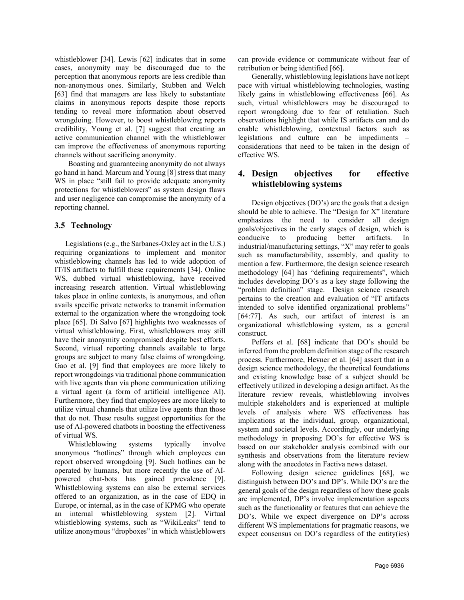whistleblower [34]. Lewis [62] indicates that in some cases, anonymity may be discouraged due to the perception that anonymous reports are less credible than non-anonymous ones. Similarly, Stubben and Welch [63] find that managers are less likely to substantiate claims in anonymous reports despite those reports tending to reveal more information about observed wrongdoing. However, to boost whistleblowing reports credibility, Young et al. [7] suggest that creating an active communication channel with the whistleblower can improve the effectiveness of anonymous reporting channels without sacrificing anonymity.

Boasting and guaranteeing anonymity do not always go hand in hand. Marcum and Young [8] stress that many WS in place "still fail to provide adequate anonymity protections for whistleblowers" as system design flaws and user negligence can compromise the anonymity of a reporting channel.

### **3.5 Technology**

Legislations (e.g., the Sarbanes-Oxley act in the U.S.) requiring organizations to implement and monitor whistleblowing channels has led to wide adoption of IT/IS artifacts to fulfill these requirements [34]. Online WS, dubbed virtual whistleblowing, have received increasing research attention. Virtual whistleblowing takes place in online contexts, is anonymous, and often avails specific private networks to transmit information external to the organization where the wrongdoing took place [65]. Di Salvo [67] highlights two weaknesses of virtual whistleblowing. First, whistleblowers may still have their anonymity compromised despite best efforts. Second, virtual reporting channels available to large groups are subject to many false claims of wrongdoing. Gao et al. [9] find that employees are more likely to report wrongdoings via traditional phone communication with live agents than via phone communication utilizing a virtual agent (a form of artificial intelligence AI). Furthermore, they find that employees are more likely to utilize virtual channels that utilize live agents than those that do not. These results suggest opportunities for the use of AI-powered chatbots in boosting the effectiveness of virtual WS.

Whistleblowing systems typically involve anonymous "hotlines" through which employees can report observed wrongdoing [9]. Such hotlines can be operated by humans, but more recently the use of AIpowered chat-bots has gained prevalence [9]. Whistleblowing systems can also be external services offered to an organization, as in the case of EDQ in Europe, or internal, as in the case of KPMG who operate an internal whistleblowing system [2]. Virtual whistleblowing systems, such as "WikiLeaks" tend to utilize anonymous "dropboxes" in which whistleblowers can provide evidence or communicate without fear of retribution or being identified [66].

Generally, whistleblowing legislations have not kept pace with virtual whistleblowing technologies, wasting likely gains in whistleblowing effectiveness [66]. As such, virtual whistleblowers may be discouraged to report wrongdoing due to fear of retaliation. Such observations highlight that while IS artifacts can and do enable whistleblowing, contextual factors such as legislations and culture can be impediments – considerations that need to be taken in the design of effective WS.

# **4. Design objectives for effective whistleblowing systems**

Design objectives (DO's) are the goals that a design should be able to achieve. The "Design for X" literature emphasizes the need to consider all design goals/objectives in the early stages of design, which is conducive to producing better artifacts. In industrial/manufacturing settings, "X" may refer to goals such as manufacturability, assembly, and quality to mention a few. Furthermore, the design science research methodology [64] has "defining requirements", which includes developing DO's as a key stage following the "problem definition" stage. Design science research pertains to the creation and evaluation of "IT artifacts intended to solve identified organizational problems" [64:77]. As such, our artifact of interest is an organizational whistleblowing system, as a general construct.

Peffers et al. [68] indicate that DO's should be inferred from the problem definition stage of the research process. Furthermore, Hevner et al. [64] assert that in a design science methodology, the theoretical foundations and existing knowledge base of a subject should be effectively utilized in developing a design artifact. As the literature review reveals, whistleblowing involves multiple stakeholders and is experienced at multiple levels of analysis where WS effectiveness has implications at the individual, group, organizational, system and societal levels. Accordingly, our underlying methodology in proposing DO's for effective WS is based on our stakeholder analysis combined with our synthesis and observations from the literature review along with the anecdotes in Factiva news dataset.

Following design science guidelines [68], we distinguish between DO's and DP's. While DO's are the general goals of the design regardless of how these goals are implemented, DP's involve implementation aspects such as the functionality or features that can achieve the DO's. While we expect divergence on DP's across different WS implementations for pragmatic reasons, we expect consensus on DO's regardless of the entity(ies)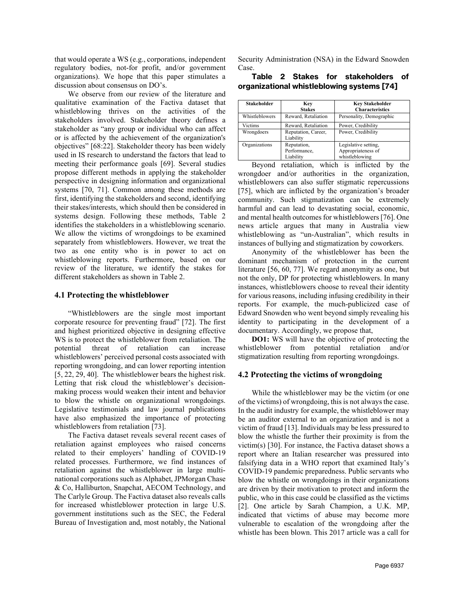that would operate a WS (e.g., corporations, independent regulatory bodies, not-for profit, and/or government organizations). We hope that this paper stimulates a discussion about consensus on DO's.

We observe from our review of the literature and qualitative examination of the Factiva dataset that whistleblowing thrives on the activities of the stakeholders involved. Stakeholder theory defines a stakeholder as "any group or individual who can affect or is affected by the achievement of the organization's objectives" [68:22]. Stakeholder theory has been widely used in IS research to understand the factors that lead to meeting their performance goals [69]. Several studies propose different methods in applying the stakeholder perspective in designing information and organizational systems [70, 71]. Common among these methods are first, identifying the stakeholders and second, identifying their stakes/interests, which should then be considered in systems design. Following these methods, [Table 2](#page-5-0) identifies the stakeholders in a whistleblowing scenario. We allow the victims of wrongdoings to be examined separately from whistleblowers. However, we treat the two as one entity who is in power to act on whistleblowing reports. Furthermore, based on our review of the literature, we identify the stakes for different stakeholders as shown in [Table 2.](#page-5-0)

#### **4.1 Protecting the whistleblower**

"Whistleblowers are the single most important corporate resource for preventing fraud" [72]. The first and highest prioritized objective in designing effective WS is to protect the whistleblower from retaliation. The potential threat of retaliation can increase whistleblowers' perceived personal costs associated with reporting wrongdoing, and can lower reporting intention [5, 22, 29, 40]. The whistleblower bears the highest risk. Letting that risk cloud the whistleblower's decisionmaking process would weaken their intent and behavior to blow the whistle on organizational wrongdoings. Legislative testimonials and law journal publications have also emphasized the importance of protecting whistleblowers from retaliation [73].

The Factiva dataset reveals several recent cases of retaliation against employees who raised concerns related to their employers' handling of COVID-19 related processes. Furthermore, we find instances of retaliation against the whistleblower in large multinational corporations such as Alphabet, JPMorgan Chase & Co, Halliburton, Snapchat, AECOM Technology, and The Carlyle Group. The Factiva dataset also reveals calls for increased whistleblower protection in large U.S. government institutions such as the SEC, the Federal Bureau of Investigation and, most notably, the National <span id="page-5-0"></span>Security Administration (NSA) in the Edward Snowden Case.

**Table 2 Stakes for stakeholders of organizational whistleblowing systems [74]**

| <b>Stakeholder</b> | Key<br><b>Stakes</b>                     | <b>Key Stakeholder</b><br><b>Characteristics</b>             |
|--------------------|------------------------------------------|--------------------------------------------------------------|
| Whistleblowers     | Reward, Retaliation                      | Personality, Demographic                                     |
| Victims            | Reward, Retaliation                      | Power, Credibility                                           |
| Wrongdoers         | Reputation, Career,<br>Liability         | Power, Credibility                                           |
| Organizations      | Reputation,<br>Performance,<br>Liability | Legislative setting,<br>Appropriateness of<br>whistleblowing |

Beyond retaliation, which is inflicted by the wrongdoer and/or authorities in the organization, whistleblowers can also suffer stigmatic repercussions [75], which are inflicted by the organization's broader community. Such stigmatization can be extremely harmful and can lead to devastating social, economic, and mental health outcomes for whistleblowers [76]. One news article argues that many in Australia view whistleblowing as "un-Australian", which results in instances of bullying and stigmatization by coworkers.

Anonymity of the whistleblower has been the dominant mechanism of protection in the current literature [56, 60, 77]. We regard anonymity as one, but not the only, DP for protecting whistleblowers. In many instances, whistleblowers choose to reveal their identity for various reasons, including infusing credibility in their reports. For example, the much-publicized case of Edward Snowden who went beyond simply revealing his identity to participating in the development of a documentary. Accordingly, we propose that,

**DO1:** WS will have the objective of protecting the whistleblower from potential retaliation and/or stigmatization resulting from reporting wrongdoings.

#### **4.2 Protecting the victims of wrongdoing**

While the whistleblower may be the victim (or one of the victims) of wrongdoing, this is not always the case. In the audit industry for example, the whistleblower may be an auditor external to an organization and is not a victim of fraud [13]. Individuals may be less pressured to blow the whistle the further their proximity is from the victim(s) [30]. For instance, the Factiva dataset shows a report where an Italian researcher was pressured into falsifying data in a WHO report that examined Italy's COVID-19 pandemic preparedness. Public servants who blow the whistle on wrongdoings in their organizations are driven by their motivation to protect and inform the public, who in this case could be classified as the victims [2]. One article by Sarah Champion, a U.K. MP, indicated that victims of abuse may become more vulnerable to escalation of the wrongdoing after the whistle has been blown. This 2017 article was a call for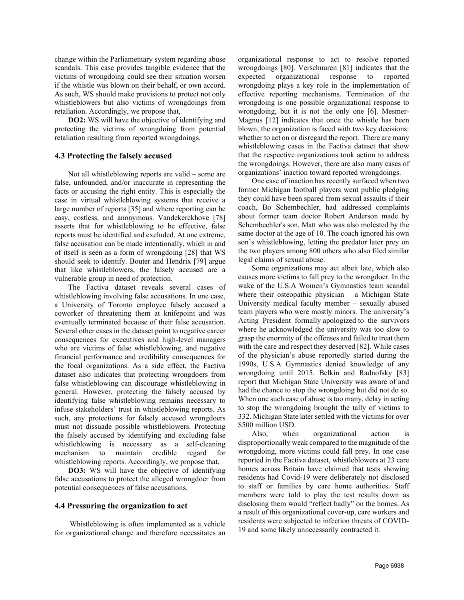change within the Parliamentary system regarding abuse scandals. This case provides tangible evidence that the victims of wrongdoing could see their situation worsen if the whistle was blown on their behalf, or own accord. As such, WS should make provisions to protect not only whistleblowers but also victims of wrongdoings from retaliation. Accordingly, we propose that,

**DO2:** WS will have the objective of identifying and protecting the victims of wrongdoing from potential retaliation resulting from reported wrongdoings.

### **4.3 Protecting the falsely accused**

Not all whistleblowing reports are valid – some are false, unfounded, and/or inaccurate in representing the facts or accusing the right entity. This is especially the case in virtual whistleblowing systems that receive a large number of reports [35] and where reporting can be easy, costless, and anonymous. Vandekerckhove [78] asserts that for whistleblowing to be effective, false reports must be identified and excluded. At one extreme, false accusation can be made intentionally, which in and of itself is seen as a form of wrongdoing [28] that WS should seek to identify. Bouter and Hendrix [79] argue that like whistleblowers, the falsely accused are a vulnerable group in need of protection.

The Factiva dataset reveals several cases of whistleblowing involving false accusations. In one case, a University of Toronto employee falsely accused a coworker of threatening them at knifepoint and was eventually terminated because of their false accusation. Several other cases in the dataset point to negative career consequences for executives and high-level managers who are victims of false whistleblowing, and negative financial performance and credibility consequences for the focal organizations. As a side effect, the Factiva dataset also indicates that protecting wrongdoers from false whistleblowing can discourage whistleblowing in general. However, protecting the falsely accused by identifying false whistleblowing remains necessary to infuse stakeholders' trust in whistleblowing reports. As such, any protections for falsely accused wrongdoers must not dissuade possible whistleblowers. Protecting the falsely accused by identifying and excluding false whistleblowing is necessary as a self-cleaning mechanism to maintain credible regard for whistleblowing reports. Accordingly, we propose that,

**DO3:** WS will have the objective of identifying false accusations to protect the alleged wrongdoer from potential consequences of false accusations.

#### **4.4 Pressuring the organization to act**

Whistleblowing is often implemented as a vehicle for organizational change and therefore necessitates an

organizational response to act to resolve reported wrongdoings [80]. Verschuuren [81] indicates that the expected organizational response to reported wrongdoing plays a key role in the implementation of effective reporting mechanisms. Termination of the wrongdoing is one possible organizational response to wrongdoing, but it is not the only one [6]. Mesmer-Magnus [12] indicates that once the whistle has been blown, the organization is faced with two key decisions: whether to act on or disregard the report. There are many whistleblowing cases in the Factiva dataset that show that the respective organizations took action to address the wrongdoings. However, there are also many cases of organizations' inaction toward reported wrongdoings.

One case of inaction has recently surfaced when two former Michigan football players went public pledging they could have been spared from sexual assaults if their coach, Bo Schembechler, had addressed complaints about former team doctor Robert Anderson made by Schembechler's son, Matt who was also molested by the same doctor at the age of 10. The coach ignored his own son's whistleblowing, letting the predator later prey on the two players among 800 others who also filed similar legal claims of sexual abuse.

Some organizations may act albeit late, which also causes more victims to fall prey to the wrongdoer. In the wake of the U.S.A Women's Gymnastics team scandal where their osteopathic physician – a Michigan State University medical faculty member – sexually abused team players who were mostly minors. The university's Acting President formally [apologized](https://msu.edu/ourcommitment/news/2019-02-15-statement-to-survivors.html) to the survivors where he acknowledged the university was too slow to grasp the enormity of the offenses and failed to treat them with the care and respect they deserved [82]. While cases of the physician's abuse reportedly started during the 1990s, U.S.A Gymnastics denied knowledge of any wrongdoing until 2015. Belkin and Radnofsky [83] report that Michigan State University was aware of and had the chance to stop the wrongdoing but did not do so. When one such case of abuse is too many, delay in acting to stop the wrongdoing brought the tally of victims to 332. Michigan State later settled with the victims for over \$500 million USD.

Also, when organizational action is disproportionally weak compared to the magnitude of the wrongdoing, more victims could fall prey. In one case reported in the Factiva dataset, whistleblowers at 23 care homes across Britain have claimed that tests showing residents had Covid-19 were deliberately not disclosed to staff or families by care home authorities. Staff members were told to play the test results down as disclosing them would "reflect badly" on the homes. As a result of this organizational cover-up, care workers and residents were subjected to infection threats of COVID-19 and some likely unnecessarily contracted it.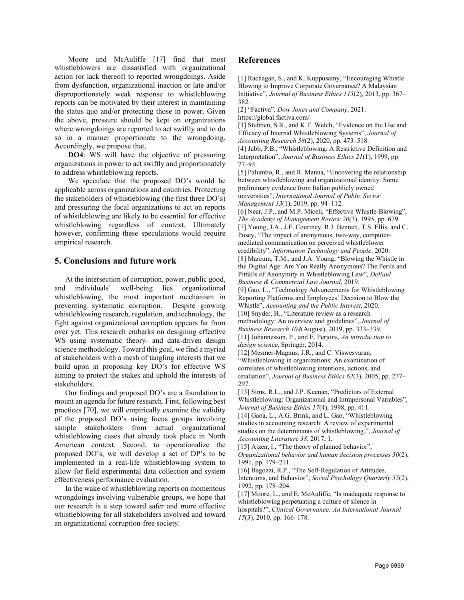Moore and McAuliffe [17] find that most whistleblowers are dissatisfied with organizational action (or lack thereof) to reported wrongdoings. Aside from dysfunction, organizational inaction or late and/or disproportionately weak response to whistleblowing reports can be motivated by their interest in maintaining the status quo and/or protecting those in power. Given the above, pressure should be kept on organizations where wrongdoings are reported to act swiftly and to do so in a manner proportionate to the wrongdoing. Accordingly, we propose that,

**DO4**: WS will have the objective of pressuring organizations in power to act swiftly and proportionately to address whistleblowing reports.

We speculate that the proposed DO's would be applicable across organizations and countries. Protecting the stakeholders of whistleblowing (the first three DO's) and pressuring the focal organizations to act on reports of whistleblowing are likely to be essential for effective whistleblowing regardless of context. Ultimately however, confirming these speculations would require empirical research.

# **5. Conclusions and future work**

At the intersection of corruption, power, public good, and individuals' well-being lies organizational whistleblowing, the most important mechanism in preventing systematic corruption. Despite growing whistleblowing research, regulation, and technology, the fight against organizational corruption appears far from over yet. This research embarks on designing effective WS using systematic theory- and data-driven design science methodology. Toward this goal, we find a myriad of stakeholders with a mesh of tangling interests that we build upon in proposing key DO's for effective WS aiming to protect the stakes and uphold the interests of stakeholders.

Our findings and proposed DO's are a foundation to mount an agenda for future research. First, following best practices [70], we will empirically examine the validity of the proposed DO's using focus groups involving sample stakeholders from actual organizational whistleblowing cases that already took place in North American context. Second, to operationalize the proposed DO's, we will develop a set of DP's to be implemented in a real-life whistleblowing system to allow for field experimental data collection and system effectiveness performance evaluation.

In the wake of whistleblowing reports on momentous wrongdoings involving vulnerable groups, we hope that our research is a step toward safer and more effective whistleblowing for all stakeholders involved and toward an organizational corruption-free society.

### **References**

[1] Rachagan, S., and K. Kuppusamy, "Encouraging Whistle Blowing to Improve Corporate Governance? A Malaysian Initiative", *Journal of Business Ethics 115*(2), 2013, pp. 367– 382.

[2] "Factiva", *Dow Jones and Company*, 2021.

https://global.factiva.com/

[3] Stubben, S.R., and K.T. Welch, "Evidence on the Use and Efficacy of Internal Whistleblowing Systems", *Journal of Accounting Research 58*(2), 2020, pp. 473–518.

[4] Jubb, P.B., "Whistleblowing: A Restrictive Definition and Interpretation", *Journal of Business Ethics 21*(1), 1999, pp. 77–94.

[5] Palumbo, R., and R. Manna, "Uncovering the relationship between whistleblowing and organizational identity: Some preliminary evidence from Italian publicly owned universities", *International Journal of Public Sector Management 33*(1), 2019, pp. 94–112.

[6] Near, J.P., and M.P. Miceli, "Effective Whistle-Blowing", *The Academy of Management Review 20*(3), 1995, pp. 679. [7] Young, J.A., J.F. Courtney, R.J. Bennett, T.S. Ellis, and C.

Posey, "The impact of anonymous, two-way, computermediated communication on perceived whistleblower

credibility", *Information Technology and People*, 2020. [8] Marcum, T.M., and J.A. Young, "Blowing the Whistle in

the Digital Age: Are You Really Anonymous? The Perils and Pitfalls of Anonymity in Whistleblowing Law", *DePaul Business & Commercial Law Journal*, 2019.

[9] Gao, L., "Technology Advancements for Whistleblowing Reporting Platforms and Employees' Decision to Blow the Whistle", *Accounting and the Public Interest*, 2020. [10] Snyder, H., "Literature review as a research methodology: An overview and guidelines", *Journal of* 

*Business Research 104*(August), 2019, pp. 333–339. [11] Johannesson, P., and E. Perjons, *An introduction to* 

*design science*, Springer, 2014.

[12] Mesmer-Magnus, J.R., and C. Viswesvaran, "Whistleblowing in organizations: An examination of correlates of whistleblowing intentions, actions, and retaliation", *Journal of Business Ethics 62*(3), 2005, pp. 277– 297.

[13] Sims, R.L., and J.P. Keenan, "Predictors of External Whistleblowing: Organizational and Intrapersonal Variables", *Journal of Business Ethics 17*(4), 1998, pp. 411.

[14] Gaoa, L., A.G. Brink, and L. Gao, "Whistleblowing studies in accounting research: A review of experimental studies on the determinants of whistleblowing.", *Journal of Accounting Literature 38*, 2017, 1.

[15] Ajzen, I., "The theory of planned behavior", *Organizational behavior and human decision processes 50*(2), 1991, pp. 179–211.

[16] Bagozzi, R.P., "The Self-Regulation of Attitudes, Intentions, and Behavior", *Social Psychology Quarterly 55*(2), 1992, pp. 178–204.

[17] Moore, L., and E. McAuliffe, "Is inadequate response to whistleblowing perpetuating a culture of silence in hospitals?", *Clinical Governance: An International Journal 15*(3), 2010, pp. 166–178.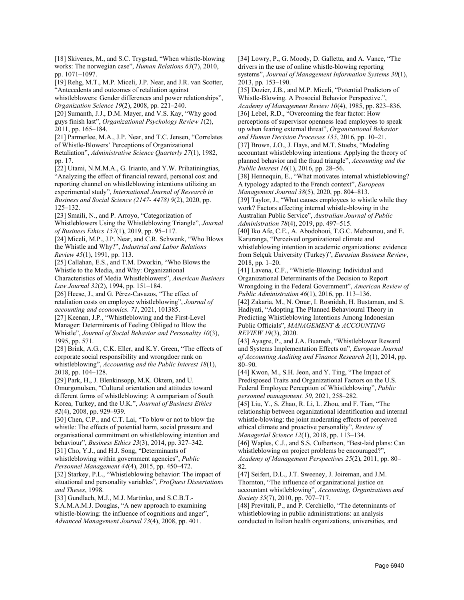[18] Skivenes, M., and S.C. Trygstad, "When whistle-blowing works: The norwegian case", *Human Relations 63*(7), 2010, pp. 1071–1097.

[19] Rehg, M.T., M.P. Miceli, J.P. Near, and J.R. van Scotter, "Antecedents and outcomes of retaliation against

whistleblowers: Gender differences and power relationships", *Organization Science 19*(2), 2008, pp. 221–240.

[20] Sumanth, J.J., D.M. Mayer, and V.S. Kay, "Why good guys finish last", *Organizational Psychology Review 1*(2), 2011, pp. 165–184.

[21] Parmerlee, M.A., J.P. Near, and T.C. Jensen, "Correlates of Whistle-Blowers' Perceptions of Organizational Retaliation", *Administrative Science Quarterly 27*(1), 1982,

pp. 17.

[22] Utami, N.M.M.A., G. Irianto, and Y.W. Prihatiningtias, "Analyzing the effect of financial reward, personal cost and reporting channel on whistleblowing intentions utilizing an experimental study", *International Journal of Research in Business and Social Science (2147- 4478) 9*(2), 2020, pp. 125–132.

[23] Smaili, N., and P. Arroyo, "Categorization of Whistleblowers Using the Whistleblowing Triangle", *Journal of Business Ethics 157*(1), 2019, pp. 95–117.

[24] Miceli, M.P., J.P. Near, and C.R. Schwenk, "Who Blows the Whistle and Why?", *Industrial and Labor Relations Review 45*(1), 1991, pp. 113.

[25] Callahan, E.S., and T.M. Dworkin, "Who Blows the Whistle to the Media, and Why: Organizational

Characteristics of Media Whistleblowers", *American Business Law Journal 32*(2), 1994, pp. 151–184.

[26] Heese, J., and G. Pérez-Cavazos, "The effect of retaliation costs on employee whistleblowing", *Journal of accounting and economics. 71*, 2021, 101385.

[27] Keenan, J.P., "Whistleblowing and the First-Level Manager: Determinants of Feeling Obliged to Blow the Whistle", *Journal of Social Behavior and Personality 10*(3), 1995, pp. 571.

[28] Brink, A.G., C.K. Eller, and K.Y. Green, "The effects of corporate social responsibility and wrongdoer rank on whistleblowing", *Accounting and the Public Interest 18*(1), 2018, pp. 104–128.

[29] Park, H., J. Blenkinsopp, M.K. Oktem, and U. Omurgonulsen, "Cultural orientation and attitudes toward different forms of whistleblowing: A comparison of South Korea, Turkey, and the U.K.", *Journal of Business Ethics 82*(4), 2008, pp. 929–939.

[30] Chen, C.P., and C.T. Lai, "To blow or not to blow the whistle: The effects of potential harm, social pressure and organisational commitment on whistleblowing intention and behaviour", *Business Ethics 23*(3), 2014, pp. 327–342.

[31] Cho, Y.J., and H.J. Song, "Determinants of whistleblowing within government agencies", *Public Personnel Management 44*(4), 2015, pp. 450–472.

[32] Starkey, P.L., "Whistleblowing behavior: The impact of situational and personality variables", *ProQuest Dissertations and Theses*, 1998.

[33] Gundlach, M.J., M.J. Martinko, and S.C.B.T.-S.A.M.A.M.J. Douglas, "A new approach to examining whistle-blowing: the influence of cognitions and anger", *Advanced Management Journal 73*(4), 2008, pp. 40+.

[34] Lowry, P., G. Moody, D. Galletta, and A. Vance, "The drivers in the use of online whistle-blowing reporting systems", *Journal of Management Information Systems 30*(1), 2013, pp. 153–190.

[35] Dozier, J.B., and M.P. Miceli, "Potential Predictors of Whistle-Blowing. A Prosocial Behavior Perspective.", *Academy of Management Review 10*(4), 1985, pp. 823–836. [36] Lebel, R.D., "Overcoming the fear factor: How perceptions of supervisor openness lead employees to speak

up when fearing external threat", *Organizational Behavior and Human Decision Processes 135*, 2016, pp. 10–21. [37] Brown, J.O., J. Hays, and M.T. Stuebs, "Modeling accountant whistleblowing intentions: Applying the theory of

planned behavior and the fraud triangle", *Accounting and the Public Interest 16*(1), 2016, pp. 28–56.

[38] Hennequin, E., "What motivates internal whistleblowing? A typology adapted to the French context", *European Management Journal 38*(5), 2020, pp. 804–813.

[39] Taylor, J., "What causes employees to whistle while they work? Factors affecting internal whistle-blowing in the Australian Public Service", *Australian Journal of Public Administration 78*(4), 2019, pp. 497–515.

[40] Iko Afe, C.E., A. Abodohoui, T.G.C. Mebounou, and E. Karuranga, "Perceived organizational climate and whistleblowing intention in academic organizations: evidence from Selçuk University (Turkey)", *Eurasian Business Review*, 2018, pp. 1–20.

[41] Lavena, C.F., "Whistle-Blowing: Individual and Organizational Determinants of the Decision to Report Wrongdoing in the Federal Government", *American Review of Public Administration 46*(1), 2016, pp. 113–136.

[42] Zakaria, M., N. Omar, I. Rosnidah, H. Bustaman, and S. Hadiyati, "Adopting The Planned Behavioural Theory in Predicting Whistleblowing Intentions Among Indonesian Public Officials", *MANAGEMENT & ACCOUNTING REVIEW 19*(3), 2020.

[43] Ayagre, P., and J.A. Buameh, "Whistleblower Reward and Systems Implementation Effects on", *European Journal of Accounting Auditing and Finance Research 2*(1), 2014, pp. 80–90.

[44] Kwon, M., S.H. Jeon, and Y. Ting, "The Impact of Predisposed Traits and Organizational Factors on the U.S. Federal Employee Perception of Whistleblowing", *Public personnel management. 50*, 2021, 258–282.

[45] Liu, Y., S. Zhao, R. Li, L. Zhou, and F. Tian, "The relationship between organizational identification and internal whistle-blowing: the joint moderating effects of perceived ethical climate and proactive personality", *Review of Managerial Science 12*(1), 2018, pp. 113–134.

[46] Waples, C.J., and S.S. Culbertson, "Best-laid plans: Can whistleblowing on project problems be encouraged?", *Academy of Management Perspectives 25*(2), 2011, pp. 80– 82.

[47] Seifert, D.L., J.T. Sweeney, J. Joireman, and J.M. Thornton, "The influence of organizational justice on accountant whistleblowing", *Accounting, Organizations and Society 35*(7), 2010, pp. 707–717.

[48] Previtali, P., and P. Cerchiello, "The determinants of whistleblowing in public administrations: an analysis conducted in Italian health organizations, universities, and